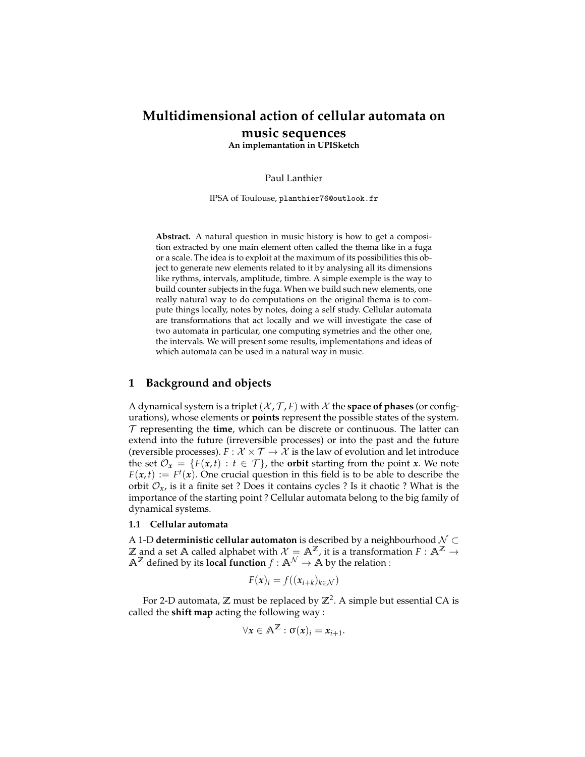# **Multidimensional action of cellular automata on music sequences**

**An implemantation in UPISketch**

Paul Lanthier

IPSA of Toulouse, planthier76@outlook.fr

**Abstract.** A natural question in music history is how to get a composition extracted by one main element often called the thema like in a fuga or a scale. The idea is to exploit at the maximum of its possibilities this object to generate new elements related to it by analysing all its dimensions like rythms, intervals, amplitude, timbre. A simple exemple is the way to build counter subjects in the fuga. When we build such new elements, one really natural way to do computations on the original thema is to compute things locally, notes by notes, doing a self study. Cellular automata are transformations that act locally and we will investigate the case of two automata in particular, one computing symetries and the other one, the intervals. We will present some results, implementations and ideas of which automata can be used in a natural way in music.

# <span id="page-0-0"></span>**1 Background and objects**

A dynamical system is a triplet  $(X, \mathcal{T}, F)$  with X the **space of phases** (or configurations), whose elements or **points** represent the possible states of the system. T representing the **time**, which can be discrete or continuous. The latter can extend into the future (irreversible processes) or into the past and the future (reversible processes).  $F: \mathcal{X} \times \mathcal{T} \rightarrow \mathcal{X}$  is the law of evolution and let introduce the set  $\mathcal{O}_x = \{F(x,t) : t \in \mathcal{T}\}\$ , the **orbit** starting from the point *x*. We note  $F(x, t) := F<sup>t</sup>(x)$ . One crucial question in this field is to be able to describe the orbit  $\mathcal{O}_x$ , is it a finite set ? Does it contains cycles ? Is it chaotic ? What is the importance of the starting point ? Cellular automata belong to the big family of dynamical systems.

## **1.1 Cellular automata**

A 1-D **deterministic cellular automaton** is described by a neighbourhood N ⊂  $\mathbb Z$  and a set  $\mathbb A$  called alphabet with  $\mathcal X=\mathbb A^{\mathbb Z}$ , it is a transformation  $F:\mathbb A^{\mathbb Z}\to\mathbb A^{\mathbb Z}$  $\mathbb{A}^{\mathbb{Z}}$  defined by its **local function**  $f : \mathbb{A}^{\mathcal{N}} \to \mathbb{A}$  by the relation :

$$
F(\mathbf{x})_i = f((x_{i+k})_{k \in \mathcal{N}})
$$

For 2-D automata, **Z** must be replaced by **Z**<sup>2</sup> . A simple but essential CA is called the **shift map** acting the following way :

$$
\forall x \in \mathbb{A}^{\mathbb{Z}} : \sigma(x)_i = x_{i+1}.
$$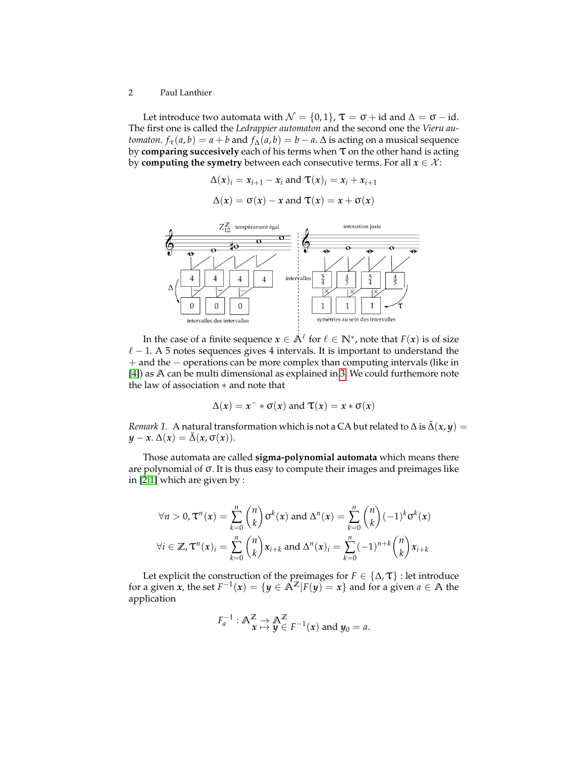Let introduce two automata with  $\mathcal{N} = \{0, 1\}$ ,  $\tau = \sigma + id$  and  $\Delta = \sigma - id$ . The first one is called the *Ledrappier automaton* and the second one the *Vieru automaton*. *f*<sub> $\tau$ </sub>(*a*, *b*) = *a* + *b* and *f*<sub>∆</sub>(*a*, *b*) = *b* − *a*.  $\Delta$  is acting on a musical sequence by **comparing succesively** each of his terms when τ on the other hand is acting by **computing the symetry** between each consecutive terms. For all  $x \in \mathcal{X}$ :

$$
\Delta(x)_i = x_{i+1} - x_i \text{ and } \mathbf{T}(x)_i = x_i + x_{i+1}
$$

$$
\Delta(x) = \sigma(x) - x \text{ and } \mathbf{T}(x) = x + \sigma(x)
$$



In the case of a finite sequence  $x \in \mathbb{A}^{\ell}$  for  $\ell \in \mathbb{N}^*$ , note that  $F(x)$  is of size  $\ell$  – 1. A 5 notes sequences gives 4 intervals. It is important to understand the + and the − operations can be more complex than computing intervals (like in [\[4\]](#page-11-0)) as **A** can be multi dimensional as explained in [3.](#page-9-0) We could furthemore note the law of association ∗ and note that

$$
\Delta(x) = x^{-} * \sigma(x) \text{ and } \tau(x) = x * \sigma(x)
$$

<span id="page-1-0"></span>*Remark 1.* A natural transformation which is not a CA but related to  $\Delta$  is  $\tilde{\Delta}(x, y) =$  $y - x$ .  $\Delta(x) = \tilde{\Delta}(x, \sigma(x))$ .

Those automata are called **sigma-polynomial automata** which means there are polynomial of σ. It is thus easy to compute their images and preimages like in [\[2,](#page-11-1)[1\]](#page-11-2) which are given by :

$$
\forall n > 0, \mathbf{T}^n(x) = \sum_{k=0}^n {n \choose k} \sigma^k(x) \text{ and } \Delta^n(x) = \sum_{k=0}^n {n \choose k} (-1)^k \sigma^k(x)
$$
  

$$
\forall i \in \mathbb{Z}, \mathbf{T}^n(x)_i = \sum_{k=0}^n {n \choose k} x_{i+k} \text{ and } \Delta^n(x)_i = \sum_{k=0}^n (-1)^{n+k} {n \choose k} x_{i+k}
$$

Let explicit the construction of the preimages for  $F \in \{\Delta, \mathcal{T}\}\$ : let introduce for a given *x*, the set  $F^{-1}(x) = \{y \in \mathbb{A}^{\mathbb{Z}} | F(y) = x\}$  and for a given  $a \in \mathbb{A}$  the application

$$
F_a^{-1}: \mathbb{A}^{\mathbb{Z}} \underset{\mathbf{x} \to \mathbf{y}}{\to} \mathbb{A}^{\mathbb{Z}} \underset{y \in F^{-1}(x) \text{ and } y_0 = a}{\to}.
$$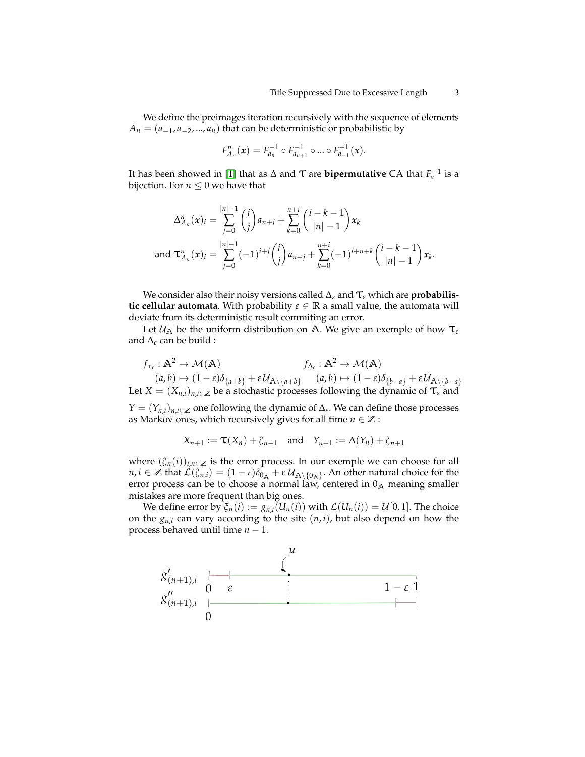We define the preimages iteration recursively with the sequence of elements  $A_n = (a_{-1}, a_{-2}, ..., a_n)$  that can be deterministic or probabilistic by

$$
F_{A_n}^n(x) = F_{a_n}^{-1} \circ F_{a_{n+1}}^{-1} \circ \dots \circ F_{a_{-1}}^{-1}(x).
$$

It has been showed in [\[1\]](#page-11-2) that as  $\Delta$  and  $\tau$  are **bipermutative** CA that  $F_a^{-1}$  is a bijection. For  $n \leq 0$  we have that

$$
\Delta_{A_n}^n(x)_i = \sum_{j=0}^{|n|-1} {i \choose j} a_{n+j} + \sum_{k=0}^{n+i} {i-k-1 \choose |n|-1} x_k
$$
  
and  $\mathbf{T}_{A_n}^n(x)_i = \sum_{j=0}^{|n|-1} (-1)^{i+j} {i \choose j} a_{n+j} + \sum_{k=0}^{n+i} (-1)^{i+n+k} {i-k-1 \choose |n|-1} x_k.$ 

We consider also their noisy versions called <sup>∆</sup>*<sup>ε</sup>* and τ*<sup>ε</sup>* which are **probabilistic cellular automata**. With probability  $\varepsilon \in \mathbb{R}$  a small value, the automata will deviate from its deterministic result commiting an error.

Let  $\mathcal{U}_A$  be the uniform distribution on  $A$ . We give an exemple of how  $\tau_\varepsilon$ and ∆*<sup>ε</sup>* can be build :

$$
f_{\tau_{\varepsilon}} : \mathbb{A}^2 \to \mathcal{M}(\mathbb{A}) \qquad f_{\Delta_{\varepsilon}} : \mathbb{A}^2 \to \mathcal{M}(\mathbb{A})
$$
  
\n
$$
(a, b) \mapsto (1 - \varepsilon)\delta_{\{a+b\}} + \varepsilon \mathcal{U}_{\mathbb{A}\backslash \{a+b\}} \qquad (a, b) \mapsto (1 - \varepsilon)\delta_{\{b-a\}} + \varepsilon \mathcal{U}_{\mathbb{A}\backslash \{b-a\}}
$$
  
\nLet  $X = (X_{n,i})_{n,i \in \mathbb{Z}}$  be a stochastic processes following the dynamic of  $\mathcal{T}_{\varepsilon}$  and  
\n $Y = (Y_{n,i})_{n,i \in \mathbb{Z}}$  one following the dynamic of  $\Delta_{\varepsilon}$ . We can define those processes  
\nas Markov ones, which recursively gives for all time  $n \in \mathbb{Z}$ :

$$
X_{n+1} := \mathbf{T}(X_n) + \xi_{n+1} \quad \text{and} \quad Y_{n+1} := \Delta(Y_n) + \xi_{n+1}
$$

where  $(\xi_n(i))_{i,n\in\mathbb{Z}}$  is the error process. In our exemple we can choose for all  $n, i \in \mathbb{Z}$  that  $\mathcal{L}(\xi_{n,i}) = (1-\varepsilon)\delta_{0_{\mathbb{A}}} + \varepsilon \mathcal{U}_{\mathbb{A}\setminus\{0_{\mathbb{A}}\}}$ . An other natural choice for the error process can be to choose a normal law, centered in  $0_A$  meaning smaller mistakes are more frequent than big ones.

We define error by  $\xi_n(i) := g_{n,i}(U_n(i))$  with  $\mathcal{L}(U_n(i)) = \mathcal{U}[0,1]$ . The choice on the  $g_{n,i}$  can vary according to the site  $(n,i)$ , but also depend on how the process behaved until time *n* − 1.

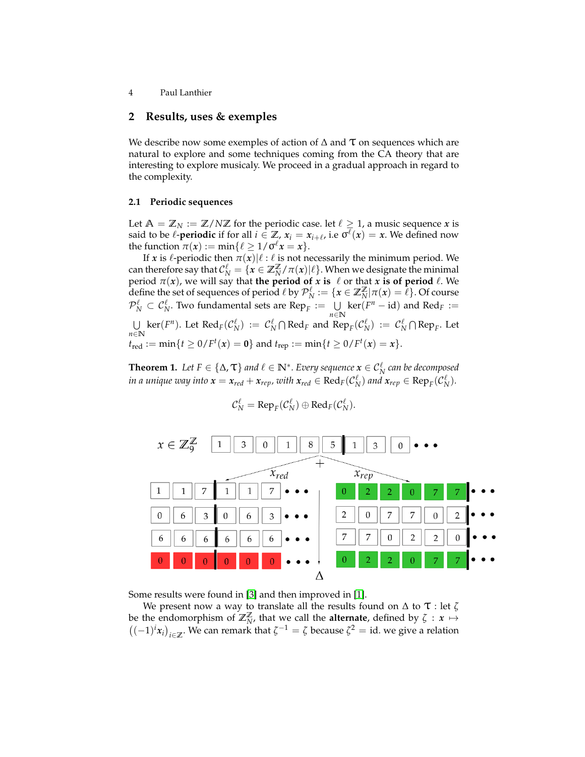# **2 Results, uses & exemples**

We describe now some exemples of action of  $\Delta$  and  $\tau$  on sequences which are natural to explore and some techniques coming from the CA theory that are interesting to explore musicaly. We proceed in a gradual approach in regard to the complexity.

## **2.1 Periodic sequences**

Let  $A = \mathbb{Z}_N := \mathbb{Z}/N\mathbb{Z}$  for the periodic case. let  $\ell \geq 1$ , a music sequence *x* is said to be  $\ell$ -**periodic** if for all  $i \in \mathbb{Z}_p$ ,  $x_i = x_{i+\ell}$ , i.e  $\sigma^{\ell}(x) = x$ . We defined now the function  $\pi(x) := \min\{\ell \geq 1/\sigma^{\ell} x = x\}.$ 

If *x* is  $\ell$ -periodic then  $\pi(x)|\ell : \ell$  is not necessarily the minimum period. We can therefore say that  $\mathcal{C}_N^{\ell} = \{x \in \mathbb{Z}_N^{\mathbb{Z}} / \pi(x) | \ell\}$ . When we designate the minimal period *π*(*x*), we will say that **the period of** *x* **is** ℓ or that *x* **is of period** ℓ. We define the set of sequences of period  $\ell$  by  $\mathcal{P}_N^{\ell} := \{ \pmb{x} \in \mathbb{Z}_N^\mathbb{Z} | \pi(\pmb{x}) = \tilde{\ell} \}$ . Of course  $\mathcal{P}_N^{\ell} \subset \mathcal{C}_N^{\ell}$ . Two fundamental sets are Rep<sub>*F*</sub> :=  $\bigcup_{n=1}^{\infty}$ *n*∈**N**  $\ker(F^n - id)$  and  $\text{Red}_F :=$  $\bigcup_{N} \text{ker}(F^n)$ . Let  $\text{Red}_F(\mathcal{C}_N^{\ell}) := \mathcal{C}_N^{\ell} \cap \text{Red}_F$  and  $\text{Rep}_F(\mathcal{C}_N^{\ell}) := \mathcal{C}_N^{\ell} \cap \text{Rep}_F$ . Let  $n ∈ N$  $t_{\text{red}} := \min\{t \ge 0/F^{t}(x) = 0\}$  and  $t_{\text{rep}} := \min\{t \ge 0/F^{t}(x) = x\}.$ 

**Theorem 1.** Let  $F \in \{\Delta, \mathcal{T}\}$  and  $\ell \in \mathbb{N}^*$ . Every sequence  $\mathbf{x} \in \mathcal{C}_N^{\ell}$  can be decomposed *in a unique way into*  $x = x_{red} + x_{rep}$ *, with*  $x_{red} \in \text{Red}_F(\mathcal{C}_N^{\ell})$  *and*  $x_{rep} \in \text{Rep}_F(\mathcal{C}_N^{\ell}).$ 

$$
\mathcal{C}_N^{\ell} = \text{Rep}_F(\mathcal{C}_N^{\ell}) \oplus \text{Red}_F(\mathcal{C}_N^{\ell}).
$$



Some results were found in [\[3\]](#page-11-3) and then improved in [\[1\]](#page-11-2).

We present now a way to translate all the results found on  $\Delta$  to  $\tau$  : let  $\zeta$ be the endomorphism of  $\mathbb{Z}_N^{\mathbb{Z}}$ , that we call the **alternate**, defined by  $\zeta : x \mapsto$  $((-1)<sup>i</sup> x<sub>i</sub>)<sub>i∈Z</sub>$ . We can remark that  $ζ<sup>-1</sup> = ζ$  because  $ζ<sup>2</sup> = id$ . we give a relation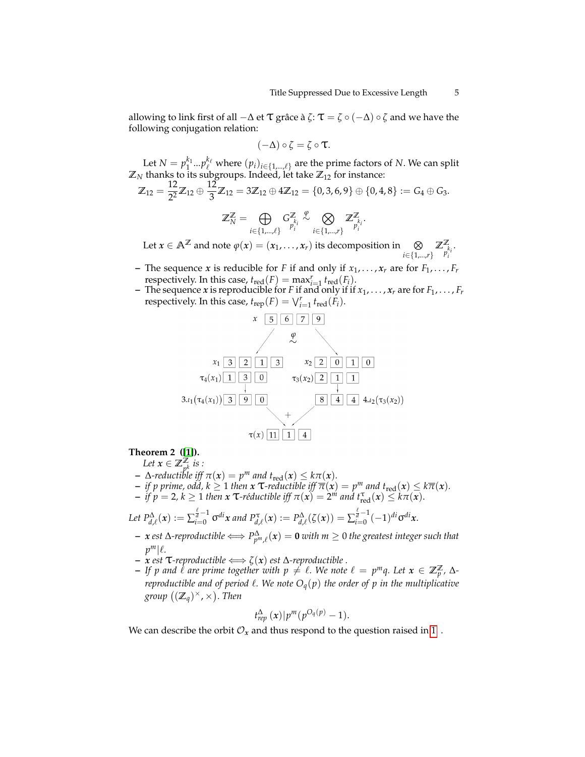allowing to link first of all  $-\Delta$  et  $\tau$  grâce à  $\zeta: \tau = \zeta \circ (-\Delta) \circ \zeta$  and we have the following conjugation relation:

$$
(-\Delta) \circ \zeta = \zeta \circ \tau.
$$

Let  $N = p_1^{k_1} ... p_\ell^{k_\ell}$  where  $(p_i)_{i \in \{1,...,\ell\}}$  are the prime factors of *N*. We can split  $\mathbb{Z}_N$  thanks to its subgroups. Indeed, let take  $\mathbb{Z}_{12}$  for instance:

$$
\mathbb{Z}_{12} = \frac{12}{2^2} \mathbb{Z}_{12} \oplus \frac{12}{3} \mathbb{Z}_{12} = 3 \mathbb{Z}_{12} \oplus 4 \mathbb{Z}_{12} = \{0, 3, 6, 9\} \oplus \{0, 4, 8\} := G_4 \oplus G_3.
$$

$$
\mathbb{Z}_N^{\mathbb{Z}}=\bigoplus_{i\in\{1,\ldots,\ell\}}G_{p_i^i}^{\mathbb{Z}}\overset{\varphi}{\sim}\bigotimes_{i\in\{1,\ldots,r\}}\mathbb{Z}_{p_i^i}^{\mathbb{Z}}.
$$

Let  $x \in \mathbb{A}^{\mathbb{Z}}$  and note  $\varphi(x) = (x_1, \ldots, x_r)$  its decomposition in  $\bigotimes$  i∈{1,...,*r*}  $\mathbb{Z}_{p_i^{k_i}}^{\mathbb{Z}}$ .

- **–** The sequence *x* is reducible for *F* if and only if  $x_1, \ldots, x_r$  are for  $F_1, \ldots, F_r$ respectively. In this case,  $t_{\text{red}}(F) = \max_{i=1}^r t_{\text{red}}(F_i)$ .
- **–** The sequence *x* is reproducible for *F* if and only if if *x*1, . . . , *x<sup>r</sup>* are for *F*1, . . . , *F<sup>r</sup>* respectively. In this case,  $t_{\text{rep}}(F) = \bigvee_{i=1}^{r} t_{\text{red}}(F_i)$ .



**Theorem 2 ([\[1\]](#page-11-2)).**

Let  $x \in \mathbb{Z}_{p^k}^{\mathbb{Z}}$  is :

 $\Delta$ *-reductible iff*  $\pi(x) = p^m$  *and*  $t_{\text{red}}(x) \leq k\pi(x)$ *.* 

 $\vec{r}$  *if p prime, odd, k* $\geq 1$ *then* $\vec{x}$  $\vec{\tau}$ **-reductible iff**  $\vec{\pi}(\vec{x}) = p^m$ *and* $t_{\text{red}}(\vec{x}) \leq k\vec{\pi}(\vec{x})$ *.* 

 $\frac{1}{\pi}$  *if*  $p = 2, k \ge 1$  then  $x$  **T**-réductible iff  $\pi(x) = 2^m$  and  $t_{\text{red}}^T(x) \le k\pi(x)$ .

Let 
$$
P_{d,\ell}^{\Delta}(x) := \sum_{i=0}^{\ell} \sigma^{di} x
$$
 and  $P_{d,\ell}^{\tau}(x) := P_{d,\ell}^{\Delta}(\zeta(x)) = \sum_{i=0}^{\ell} (-1)^{di} \sigma^{di} x$ .

- **–** *x est* ∆*-reproductible* ⇐⇒ *P* ∆ *pm*,ℓ (*x*) = **0** *with m* ≥ 0 *the greatest integer such that*  $p^m|\ell$ .
- **−** *x est*  $\tau$ *-reproductible*  $\Longleftrightarrow$   $\zeta(x)$  *est* ∆*-reproductible*.
- $-$  *If p and*  $\ell$  *are prime together with*  $p \neq \ell$ *. We note*  $\ell = p^m q$ *. Let*  $\mathbf{x} \in \mathbb{Z}_p^{\mathbb{Z}}$ *,*  $\Delta$ *reproductible and of period*  $\ell$ *. We note*  $O_q(p)$  *the order of p in the multiplicative*  $group ((\mathbb{Z}_q)^{\times}, \times)$ *. Then*

$$
t_{rep}^{\Delta}(x)|p^{m}(p^{O_q(p)}-1).
$$

We can describe the orbit  $\mathcal{O}_x$  and thus respond to the question raised in [1](#page-0-0).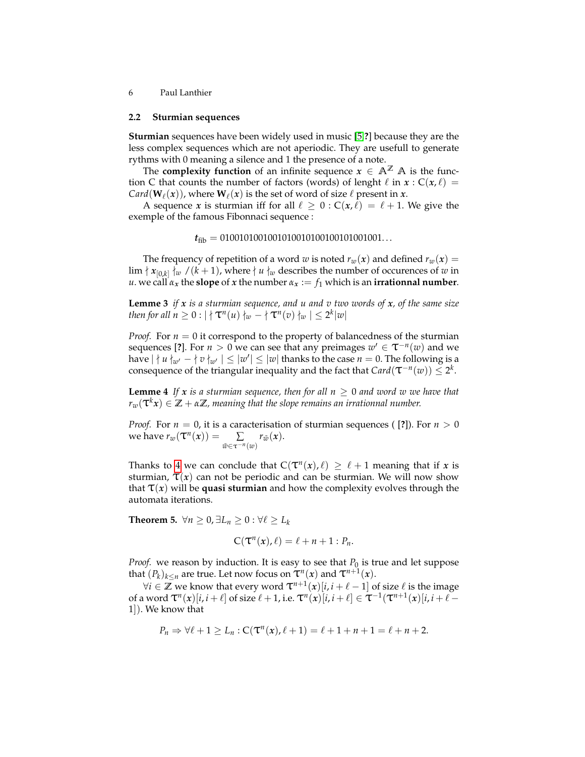#### **2.2 Sturmian sequences**

**Sturmian** sequences have been widely used in music [\[5,](#page-11-4)**?**] because they are the less complex sequences which are not aperiodic. They are usefull to generate rythms with 0 meaning a silence and 1 the presence of a note.

The **complexity function** of an infinite sequence  $x \in A^{\mathbb{Z}}$  A is the function C that counts the number of factors (words) of lenght  $\ell$  in  $x : C(x, \ell) =$  $Card(\mathbf{W}_{\ell}(\boldsymbol{x}))$ , where  $\mathbf{W}_{\ell}(\boldsymbol{x})$  is the set of word of size  $\ell$  present in  $\boldsymbol{x}$ .

A sequence *x* is sturmian iff for all  $\ell \geq 0$  :  $C(x, \ell) = \ell + 1$ . We give the exemple of the famous Fibonnaci sequence :

$$
t_{\rm fib} = 0100101001001010010100100101001001...
$$

The frequency of repetition of a word *w* is noted  $r_w(x)$  and defined  $r_w(x)$  =  $\lim |x|_{[0,k]}$   $\frac{1}{k}$  /( $k+1$ ), where  $\nmid u \nmid_w$  describes the number of occurences of *w* in *u*. we call  $\alpha_x$  the **slope** of *x* the number  $\alpha_x := f_1$  which is an **irrationnal number**.

<span id="page-5-1"></span>**Lemme 3** *if x is a sturmian sequence, and u and v two words of x, of the same size then for all*  $n \geq 0$  :  $| \nmid \mathsf{T}^n(u) \nmid_w - \nmid \mathsf{T}^n(v) \nmid_w | \leq 2^k |w|$ 

*Proof.* For  $n = 0$  it correspond to the property of balancedness of the sturmian sequences [?]. For  $n > 0$  we can see that any preimages  $w' \in \tau^{-n}(w)$  and we have  $|\nmid u\nmid_{w'} - |\nmid v\nmid_{w'}| \leq |w'| \leq |w|$  thanks to the case  $n = 0$ . The following is a consequence of the triangular inequality and the fact that  $Card(\tau^{-n}(w))\leq 2^k$ .

<span id="page-5-0"></span>**Lemme 4** If x is a sturmian sequence, then for all  $n \geq 0$  and word w we have that  $r_w(\mathbf{T}^k x) \in \mathbb{Z} + \alpha \mathbb{Z}$ , meaning that the slope remains an irrationnal number.

*Proof.* For  $n = 0$ , it is a caracterisation of sturmian sequences ([?]). For  $n > 0$ we have  $r_w(\mathbf{T}^n(x)) = \sum$ *w*˜∈τ−*n*(*w*)  $r_{\tilde{w}}(x)$ .

Thanks to [4](#page-5-0) we can conclude that  $C(\mathcal{T}^n(x), \ell) \geq \ell + 1$  meaning that if *x* is sturmian,  $\tau(x)$  can not be periodic and can be sturmian. We will now show that  $\tau(x)$  will be quasi sturmian and how the complexity evolves through the automata iterations.

<span id="page-5-2"></span>**Theorem 5.**  $\forall n \geq 0, \exists L_n \geq 0 : \forall \ell \geq L_k$ 

$$
C(\mathbf{T}^n(x),\ell)=\ell+n+1: P_n.
$$

*Proof.* we reason by induction. It is easy to see that  $P_0$  is true and let suppose that  $(P_k)_{k \le n}$  are true. Let now focus on  $\tau^n(x)$  and  $\tau^{n+1}(x)$ .

 $\forall i \in \mathbb{Z}$  we know that every word  $\tau^{n+1}(x)[i, i+\ell-1]$  of size  $\ell$  is the image of a word  $\mathcal{T}^n(x)[i, i + \ell]$  of size  $\ell + 1$ , i.e.  $\mathcal{T}^n(x)[i, i + \ell] \in \mathcal{T}^{-1}(\mathcal{T}^{n+1}(x)[i, i + \ell -$ 1]). We know that

$$
P_n \Rightarrow \forall \ell + 1 \ge L_n : C(\mathbf{T}^n(x), \ell + 1) = \ell + 1 + n + 1 = \ell + n + 2.
$$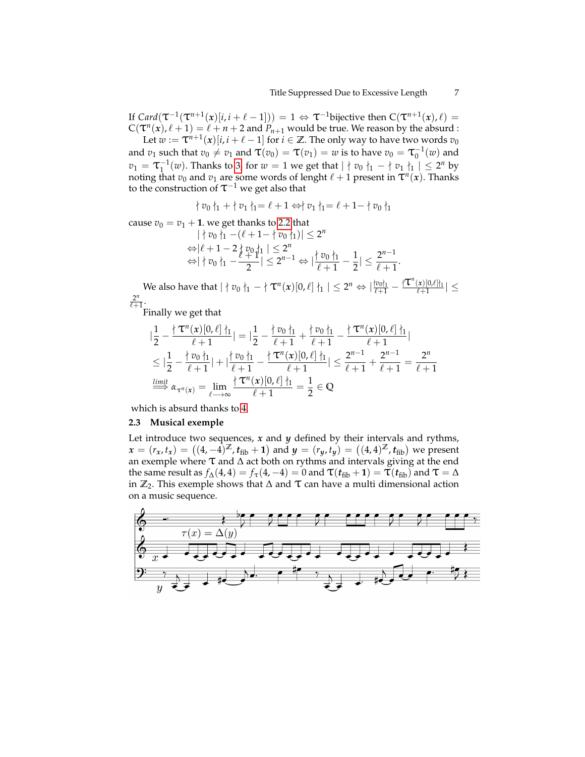If  $Card(\tau^{-1}(\tau^{n+1}(x)[i,i+\ell-1])) = 1 \Leftrightarrow \tau^{-1}$ bijective then  $C(\tau^{n+1}(x), \ell) =$  $C(T^n(x), \ell+1) = \ell+n+2$  and  $P_{n+1}$  would be true. We reason by the absurd :

Let  $w := \tau^{n+1}(x)[i, i + \ell - 1]$  for  $i \in \mathbb{Z}$ . The only way to have two words  $v_0$ and  $v_1$  such that  $v_0 \neq v_1$  and  $\tau(v_0) = \tau(v_1) = w$  is to have  $v_0 = \tau_0^{-1}(w)$  and  $v_1 = \tau_1^{-1}(w)$ . Thanks to [3,](#page-5-1) for  $w = 1$  we get that  $| \nmid v_0 |_1 - | \nmid v_1 |_1 \leq 2^n$  by noting that  $v_0$  and  $v_1$  are some words of lenght  $\ell + 1$  present in  $\tau^n(x)$ . Thanks to the construction of  $\tau^{-1}$  we get also that

$$
\nmid v_0 \nmid_1 + \nmid v_1 \nmid_1 = \ell + 1 \Leftrightarrow \nmid v_1 \nmid_1 = \ell + 1 - \nmid v_0 \nmid_1
$$

cause  $v_0 = v_1 + 1$ . we get thanks to [2.2](#page-5-2) that

$$
|\nmid v_0\rangle_1 - (\ell + 1 - |\nmid v_0\rangle_1)| \le 2^n
$$
  
\n
$$
\Leftrightarrow |\ell + 1 - 2|\ell v_0\rangle_1| \le 2^n
$$
  
\n
$$
\Leftrightarrow |\ell v_0\rangle_1 - \frac{\ell + 1}{2}| \le 2^{n-1} \Leftrightarrow |\frac{\ell v_0\rangle_1}{\ell + 1} - \frac{1}{2}| \le \frac{2^{n-1}}{\ell + 1}.
$$

*We also have that*  $| \nmid v_0 \nmid_1 - | \nmid T^n(x)[0, ℓ] \nmid_1 | ≤ 2^n$  ⇔  $|\frac{iv_0 \nmid_1}{ ℓ+1} - \frac{|\nmid T^n(x)[0, ℓ] \nmid_1}{ ℓ+1}| ≤$ 2 *n*  $\overline{\ell+1}$ .

Finally we get that

$$
\begin{split}\n|\frac{1}{2} - \frac{\n \{\tau^n(x)[0,\ell]\}^1_{1}}{\ell+1}| &= |\frac{1}{2} - \frac{\n \{\tau_0\}^1_{1}}{\ell+1} + \frac{\n \{\tau_0\}^1_{1}}{\ell+1} - \frac{\n \{\tau^n(x)[0,\ell]\}^1_{1}}{\ell+1}| \\
&\leq |\frac{1}{2} - \frac{\n \{\tau_0\}^1_{1}}{\ell+1}| + |\frac{\n \{\tau_0\}^1_{1}}{\ell+1} - \frac{\n \{\tau^n(x)[0,\ell]\}^1_{1}}{\ell+1}| \\
&\leq \frac{2^{n-1}}{\ell+1} + \frac{2^{n-1}}{\ell+1} = \frac{2^n}{\ell+1} \\
&\stackrel{\text{limit}}{\Longrightarrow} \alpha_{\tau^n(x)} &= \lim_{\ell \to \infty} \frac{\n \{\tau^n(x)[0,\ell]\}^1_{1}}{\ell+1} = \frac{1}{2} \in \mathbb{Q}\n\end{split}
$$

which is absurd thanks to [4.](#page-5-0)

### **2.3 Musical exemple**

Let introduce two sequences, *x* and *y* defined by their intervals and rythms,  $x = (r_x, t_x) = ((4, -4)^{\mathbb{Z}}, t_{\text{fib}} + 1)$  and  $y = (r_y, t_y) = ((4, 4)^{\mathbb{Z}}, t_{\text{fib}})$  we present an exemple where  $\tau$  and  $\Delta$  act both on rythms and intervals giving at the end the same result as  $f_{\Delta}(4, 4) = f_{\tau}(4, -4) = 0$  and  $\tau(t_{\text{fib}} + 1) = \tau(t_{\text{fib}})$  and  $\tau = \Delta$ in  $\mathbb{Z}_2$ . This exemple shows that  $\Delta$  and  $\tau$  can have a multi dimensional action on a music sequence.

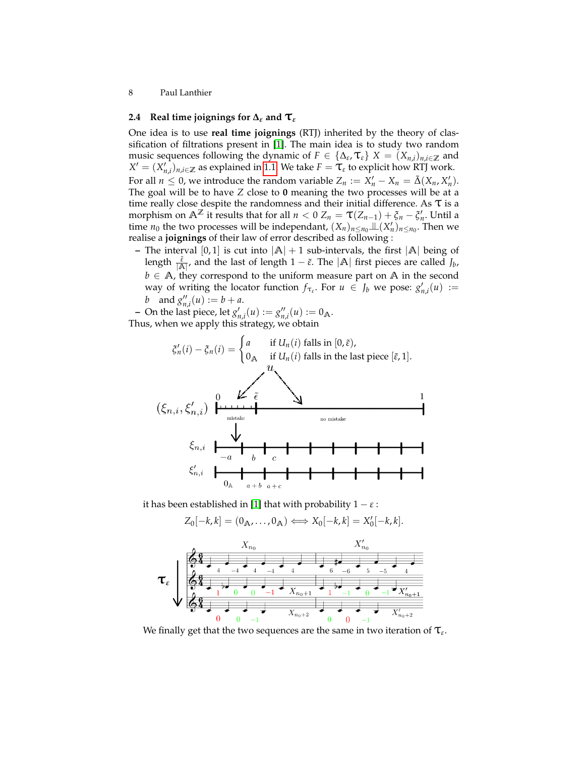## **2.4** Real time joignings for  $\Delta_{\varepsilon}$  and  $\mathbf{T}_{\varepsilon}$

One idea is to use **real time joignings** (RTJ) inherited by the theory of classification of filtrations present in [\[1\]](#page-11-2). The main idea is to study two random music sequences following the dynamic of  $F \in \{\Delta_{\varepsilon}, \mathcal{T}_{\varepsilon}\}\$   $X = (X_{n,i})_{n,i \in \mathbb{Z}}$  and  $X' = (X'_{n,i})_{n,i \in \mathbb{Z}}$  as explained in [1.1.](#page-1-0) We take  $F = \mathcal{T}_{\varepsilon}$  to explicit how RTJ work. For all  $n \leq 0$ , we introduce the random variable  $Z_n := X'_n - X_n = \tilde{\Delta}(X_n, X'_n)$ . The goal will be to have *Z* close to **0** meaning the two processes will be at a time really close despite the randomness and their initial difference. As  $\tau$  is a morphism on  $\mathbb{A}^{\mathbb{Z}}$  it results that for all  $n < 0$   $Z_n = \tau(Z_{n-1}) + \xi_n - \xi'_n$ . Until a time  $n_0$  the two processes will be independant,  $(X_n)_{n \le n_0} \perp (X'_n)_{n \le n_0}$ . Then we realise a **joignings** of their law of error described as following :

**–** The interval [0,1] is cut into  $|A| + 1$  sub-intervals, the first  $|A|$  being of length  $\frac{\tilde{\varepsilon}}{|A|}$ , and the last of length  $1 - \tilde{\varepsilon}$ . The  $|A|$  first pieces are called  $J_b$ , *b* ∈ **A**, they correspond to the uniform measure part on **A** in the second way of writing the locator function  $f_{\tau_{\varepsilon}}$ . For  $u \in J_b$  we pose:  $g'_{n,i}(u) :=$ *b* and  $g''_{n,i}(u) := b + a$ .

 $\bullet$  On the last piece, let  $g'_{n,i}(u) := g''_{n,i}(u) := 0_A$ .

Thus, when we apply this strategy, we obtain

$$
\xi'_n(i) - \xi_n(i) = \begin{cases}\na & \text{if } U_n(i) \text{ falls in } [0, \tilde{\varepsilon}), \\
0_\mathbb{A} & \text{if } U_n(i) \text{ falls in the last piece } [\tilde{\varepsilon}, 1].\n\end{cases}
$$
\n
$$
(\xi_{n,i}, \xi'_{n,i}) \quad \downarrow \qquad \qquad \downarrow \qquad \qquad \downarrow \qquad \qquad \downarrow \qquad \qquad \downarrow \qquad \qquad \downarrow \qquad \qquad \downarrow \qquad \qquad \downarrow \qquad \qquad \downarrow \qquad \qquad \downarrow \qquad \downarrow \qquad \downarrow \qquad \downarrow \qquad \qquad \downarrow \qquad \downarrow \qquad \downarrow \qquad \downarrow \qquad \qquad \downarrow \qquad \downarrow \qquad \downarrow \qquad \downarrow \qquad \downarrow \qquad \downarrow \qquad \downarrow \qquad \downarrow \qquad \downarrow \qquad \downarrow \qquad \downarrow \qquad \downarrow \qquad \downarrow \qquad \downarrow \qquad \downarrow \qquad \downarrow \qquad \downarrow \qquad \downarrow \qquad \downarrow \qquad \downarrow \qquad \downarrow \qquad \downarrow \qquad \downarrow \qquad \downarrow \qquad \downarrow \qquad \downarrow \qquad \downarrow \qquad \downarrow \qquad \downarrow \qquad \downarrow \qquad \downarrow \qquad \downarrow \qquad \downarrow \qquad \downarrow \qquad \downarrow \qquad \downarrow \qquad \downarrow \qquad \downarrow \qquad \downarrow \qquad \downarrow \qquad \downarrow \qquad \downarrow \qquad \downarrow \qquad \downarrow \qquad \downarrow \qquad \downarrow \qquad \downarrow \qquad \downarrow \qquad \downarrow \qquad \downarrow \qquad \downarrow \qquad \downarrow \qquad \downarrow \qquad \downarrow \qquad \downarrow \qquad \downarrow \qquad \downarrow \qquad \downarrow \qquad \downarrow \qquad \downarrow \qquad \downarrow \qquad \downarrow \qquad \downarrow \qquad \downarrow \qquad \downarrow \qquad \downarrow \qquad \downarrow \qquad \downarrow \qquad \downarrow \qquad \downarrow \qquad \downarrow \qquad \downarrow \qquad \downarrow \qquad \downarrow \qquad \downarrow \qquad \downarrow \qquad \downarrow \qquad \downarrow \qquad \downarrow \qquad \downarrow \qquad \downarrow \qquad \downarrow \qquad \downarrow \qquad \downarrow \qquad \downarrow \qquad
$$

it has been established in [\[1\]](#page-11-2) that with probability  $1 - \varepsilon$ :

$$
Z_0[-k,k]=(0_{\mathbb{A}},\ldots,0_{\mathbb{A}})\Longleftrightarrow X_0[-k,k]=X'_0[-k,k].
$$



We finally get that the two sequences are the same in two iteration of  $\tau_{\epsilon}$ .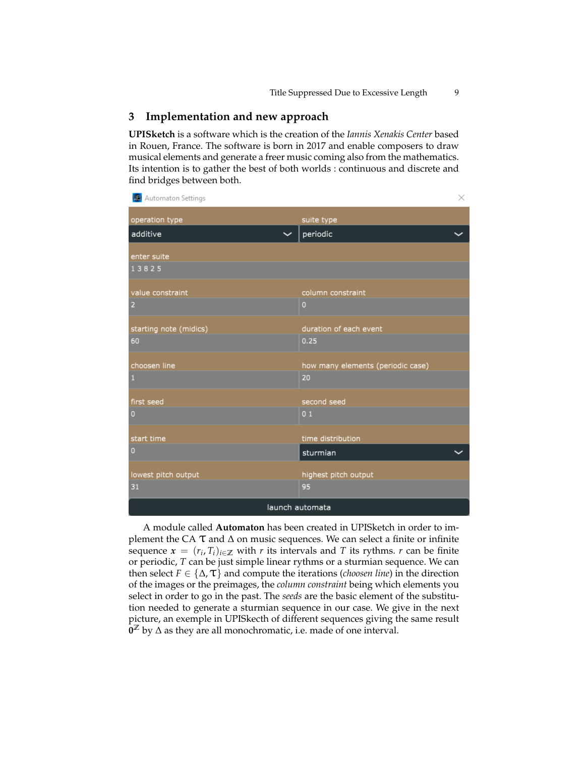## **3 Implementation and new approach**

**UPISketch** is a software which is the creation of the *Iannis Xenakis Center* based in Rouen, France. The software is born in 2017 and enable composers to draw musical elements and generate a freer music coming also from the mathematics. Its intention is to gather the best of both worlds : continuous and discrete and find bridges between both.

| Automaton Settings           | ×.                                |
|------------------------------|-----------------------------------|
| operation type               | suite type                        |
| additive                     | periodic                          |
| enter suite                  |                                   |
| 13825                        |                                   |
| value constraint             | column constraint                 |
| 2                            | $\overline{0}$                    |
|                              | duration of each event            |
| starting note (midics)<br>60 | 0.25                              |
|                              |                                   |
| choosen line                 | how many elements (periodic case) |
| $\mathbf{1}$                 | 20                                |
| first seed                   | second seed                       |
| $\overline{0}$               | 0 <sub>1</sub>                    |
| start time                   | time distribution                 |
| $\overline{0}$               | sturmian                          |
|                              |                                   |
| lowest pitch output          | highest pitch output              |
| 31                           | 95                                |
| launch automata              |                                   |

A module called **Automaton** has been created in UPISketch in order to implement the CA  $\tau$  and  $\Delta$  on music sequences. We can select a finite or infinite sequence  $\mathbf{x} = (r_i, T_i)_{i \in \mathbb{Z}}$  with *r* its intervals and *T* its rythms. *r* can be finite or periodic, *T* can be just simple linear rythms or a sturmian sequence. We can then select  $F \in \{\Delta, \mathcal{T}\}\$  and compute the iterations (*choosen line*) in the direction of the images or the preimages, the *column constraint* being which elements you select in order to go in the past. The *seeds* are the basic element of the substitution needed to generate a sturmian sequence in our case. We give in the next picture, an exemple in UPISkecth of different sequences giving the same result **0 <sup>Z</sup>** by ∆ as they are all monochromatic, i.e. made of one interval.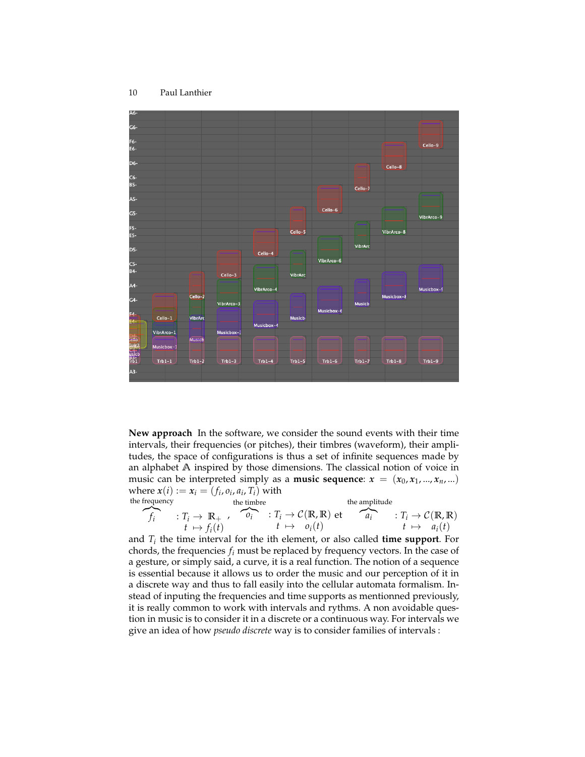

<span id="page-9-0"></span>**New approach** In the software, we consider the sound events with their time intervals, their frequencies (or pitches), their timbres (waveform), their amplitudes, the space of configurations is thus a set of infinite sequences made by an alphabet **A** inspired by those dimensions. The classical notion of voice in music can be interpreted simply as a **music sequence**:  $x = (x_0, x_1, ..., x_n, ...)$ where  $x(i) := x_i = (f_i, o_i, a_i, T_i)$  with the frequency

frequency  
\n
$$
f_i
$$
 the timbre  
\n $f_i \rightarrow \mathbb{R}_+$ ,  
\n $f_i \rightarrow \phi_i(t)$ 

and *T<sup>i</sup>* the time interval for the ith element, or also called **time support**. For chords, the frequencies *f<sup>i</sup>* must be replaced by frequency vectors. In the case of a gesture, or simply said, a curve, it is a real function. The notion of a sequence is essential because it allows us to order the music and our perception of it in a discrete way and thus to fall easily into the cellular automata formalism. Instead of inputing the frequencies and time supports as mentionned previously, it is really common to work with intervals and rythms. A non avoidable question in music is to consider it in a discrete or a continuous way. For intervals we give an idea of how *pseudo discrete* way is to consider families of intervals :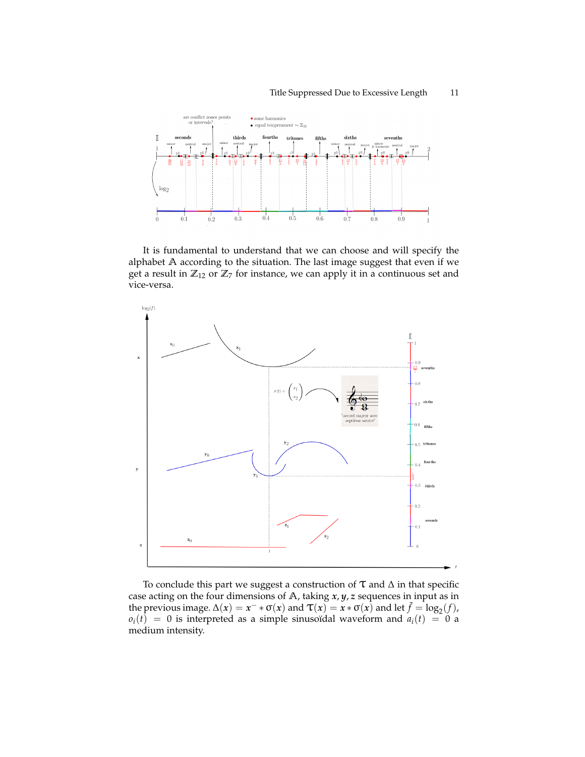

It is fundamental to understand that we can choose and will specify the alphabet **A** according to the situation. The last image suggest that even if we get a result in  $\mathbb{Z}_{12}$  or  $\mathbb{Z}_7$  for instance, we can apply it in a continuous set and vice-versa.



To conclude this part we suggest a construction of  $\tau$  and  $\Delta$  in that specific case acting on the four dimensions of **A**, taking *x*, *y*, *z* sequences in input as in the previous image.  $\Delta(x) = x^- * \sigma(x)$  and  $\tau(x) = x * \sigma(x)$  and let  $\tilde{f} = \log_2(f)$ ,  $o_i(t) = 0$  is interpreted as a simple sinusoïdal waveform and  $a_i(t) = 0$  a medium intensity.